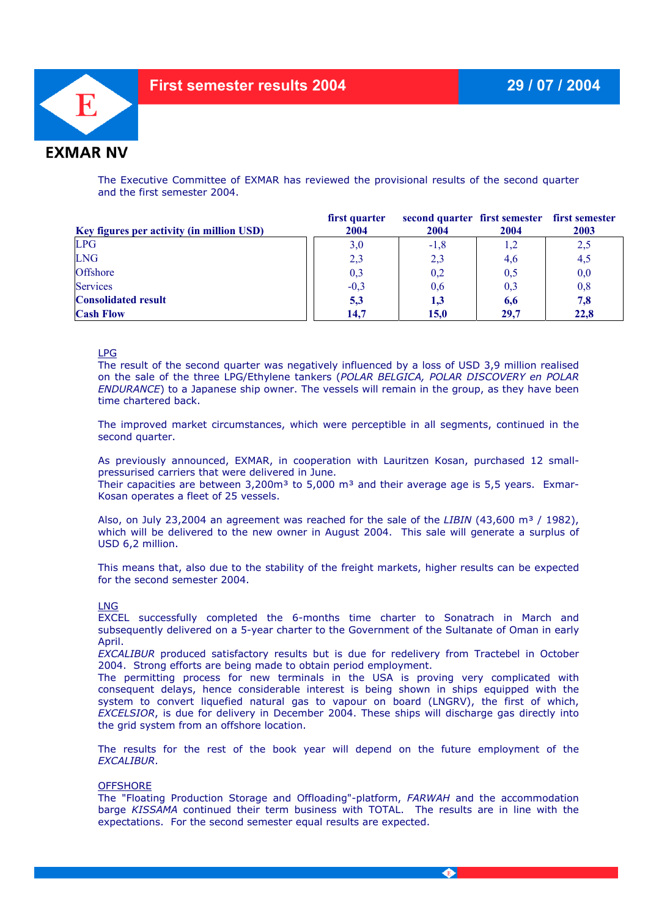

The Executive Committee of EXMAR has reviewed the provisional results of the second quarter and the first semester 2004.

| Key figures per activity (in million USD) | first quarter<br>2004 | second quarter first semester first semester<br>2004 | 2004 | 2003 |
|-------------------------------------------|-----------------------|------------------------------------------------------|------|------|
| LPG                                       | 3,0                   | $-1,8$                                               |      | 2,5  |
| <b>LNG</b>                                | 2,3                   | 2,3                                                  | 4,6  | 4,5  |
| <b>Offshore</b>                           | 0,3                   | 0,2                                                  | 0,5  | 0,0  |
| <b>Services</b>                           | $-0,3$                | 0,6                                                  | 0,3  | 0,8  |
| <b>Consolidated result</b>                | 5,3                   | 1,3                                                  | 6,6  | 7,8  |
| <b>Cash Flow</b>                          | 14.7                  | 15.0                                                 | 29.7 | 22.8 |

LPG

The result of the second quarter was negatively influenced by a loss of USD 3,9 million realised on the sale of the three LPG/Ethylene tankers (*POLAR BELGICA, POLAR DISCOVERY en POLAR ENDURANCE*) to a Japanese ship owner. The vessels will remain in the group, as they have been time chartered back.

The improved market circumstances, which were perceptible in all segments, continued in the second quarter.

As previously announced, EXMAR, in cooperation with Lauritzen Kosan, purchased 12 smallpressurised carriers that were delivered in June.

Their capacities are between 3,200 $m<sup>3</sup>$  to 5,000  $m<sup>3</sup>$  and their average age is 5,5 years. Exmar-Kosan operates a fleet of 25 vessels.

Also, on July 23,2004 an agreement was reached for the sale of the *LIBIN* (43,600 m<sup>3</sup> / 1982). which will be delivered to the new owner in August 2004. This sale will generate a surplus of USD 6,2 million.

This means that, also due to the stability of the freight markets, higher results can be expected for the second semester 2004.

## LNG

EXCEL successfully completed the 6-months time charter to Sonatrach in March and subsequently delivered on a 5-year charter to the Government of the Sultanate of Oman in early April.

*EXCALIBUR* produced satisfactory results but is due for redelivery from Tractebel in October 2004. Strong efforts are being made to obtain period employment.

The permitting process for new terminals in the USA is proving very complicated with consequent delays, hence considerable interest is being shown in ships equipped with the system to convert liquefied natural gas to vapour on board (LNGRV), the first of which, *EXCELSIOR*, is due for delivery in December 2004. These ships will discharge gas directly into the grid system from an offshore location.

The results for the rest of the book year will depend on the future employment of the *EXCALIBUR*.

## **OFFSHORE**

The "Floating Production Storage and Offloading"-platform, *FARWAH* and the accommodation barge *KISSAMA* continued their term business with TOTAL. The results are in line with the expectations. For the second semester equal results are expected.